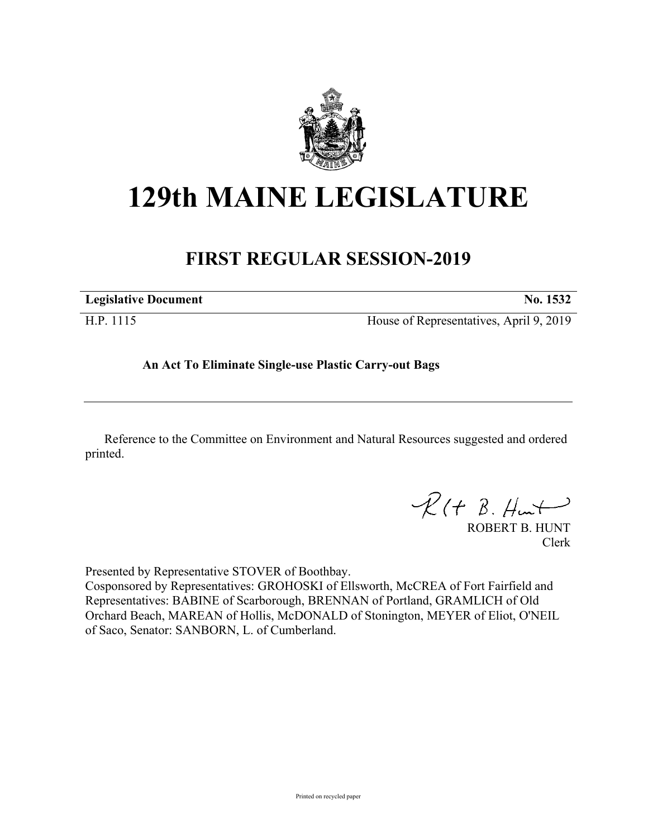

## **129th MAINE LEGISLATURE**

## **FIRST REGULAR SESSION-2019**

| <b>Legislative Document</b> | No. 1532                                |
|-----------------------------|-----------------------------------------|
| H.P. 1115                   | House of Representatives, April 9, 2019 |

**An Act To Eliminate Single-use Plastic Carry-out Bags**

Reference to the Committee on Environment and Natural Resources suggested and ordered printed.

 $R(t B. Hmt)$ 

ROBERT B. HUNT Clerk

Presented by Representative STOVER of Boothbay.

Cosponsored by Representatives: GROHOSKI of Ellsworth, McCREA of Fort Fairfield and Representatives: BABINE of Scarborough, BRENNAN of Portland, GRAMLICH of Old Orchard Beach, MAREAN of Hollis, McDONALD of Stonington, MEYER of Eliot, O'NEIL of Saco, Senator: SANBORN, L. of Cumberland.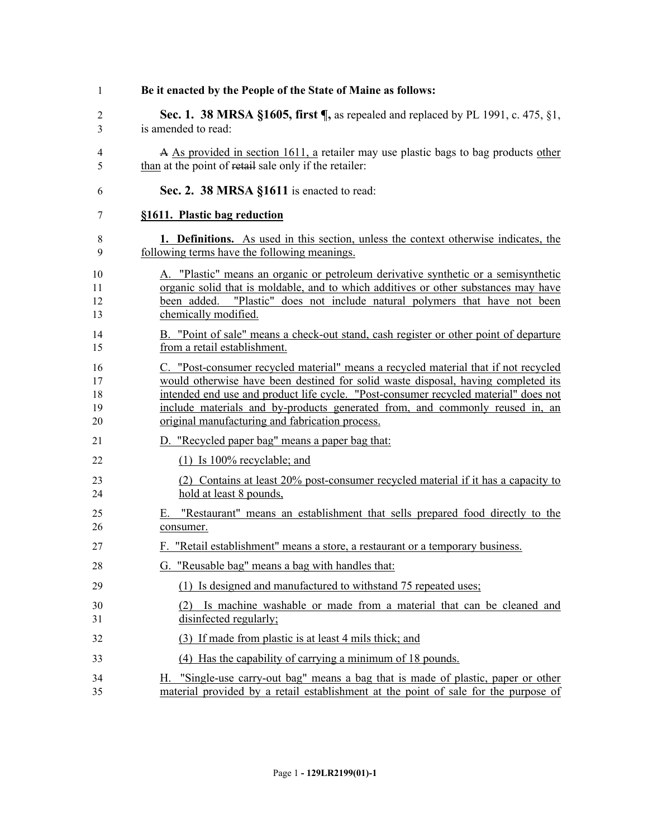| 1                          | Be it enacted by the People of the State of Maine as follows:                                                                                                                                                                                                                                                                                                                                      |
|----------------------------|----------------------------------------------------------------------------------------------------------------------------------------------------------------------------------------------------------------------------------------------------------------------------------------------------------------------------------------------------------------------------------------------------|
| $\overline{2}$<br>3        | Sec. 1. 38 MRSA §1605, first $\P$ , as repealed and replaced by PL 1991, c. 475, §1,<br>is amended to read:                                                                                                                                                                                                                                                                                        |
| $\overline{4}$<br>5        | A As provided in section 1611, a retailer may use plastic bags to bag products other<br>than at the point of retail sale only if the retailer:                                                                                                                                                                                                                                                     |
| 6                          | Sec. 2. 38 MRSA §1611 is enacted to read:                                                                                                                                                                                                                                                                                                                                                          |
| 7                          | §1611. Plastic bag reduction                                                                                                                                                                                                                                                                                                                                                                       |
| 8<br>9                     | 1. Definitions. As used in this section, unless the context otherwise indicates, the<br>following terms have the following meanings.                                                                                                                                                                                                                                                               |
| 10<br>11<br>12<br>13       | A. "Plastic" means an organic or petroleum derivative synthetic or a semisynthetic<br>organic solid that is moldable, and to which additives or other substances may have<br>been added. "Plastic" does not include natural polymers that have not been<br>chemically modified.                                                                                                                    |
| 14<br>15                   | B. "Point of sale" means a check-out stand, cash register or other point of departure<br>from a retail establishment.                                                                                                                                                                                                                                                                              |
| 16<br>17<br>18<br>19<br>20 | C. "Post-consumer recycled material" means a recycled material that if not recycled<br>would otherwise have been destined for solid waste disposal, having completed its<br>intended end use and product life cycle. "Post-consumer recycled material" does not<br>include materials and by-products generated from, and commonly reused in, an<br>original manufacturing and fabrication process. |
| 21                         | D. "Recycled paper bag" means a paper bag that:                                                                                                                                                                                                                                                                                                                                                    |
| 22                         | $(1)$ Is 100% recyclable; and                                                                                                                                                                                                                                                                                                                                                                      |
| 23<br>24                   | (2) Contains at least 20% post-consumer recycled material if it has a capacity to<br>hold at least 8 pounds,                                                                                                                                                                                                                                                                                       |
| 25<br>26                   | E. "Restaurant" means an establishment that sells prepared food directly to the<br>consumer.                                                                                                                                                                                                                                                                                                       |
| 27                         | F. "Retail establishment" means a store, a restaurant or a temporary business.                                                                                                                                                                                                                                                                                                                     |
| 28                         | G. "Reusable bag" means a bag with handles that:                                                                                                                                                                                                                                                                                                                                                   |
| 29                         | (1) Is designed and manufactured to withstand 75 repeated uses;                                                                                                                                                                                                                                                                                                                                    |
| 30<br>31                   | Is machine washable or made from a material that can be cleaned and<br>(2)<br>disinfected regularly;                                                                                                                                                                                                                                                                                               |
| 32                         | (3) If made from plastic is at least 4 mils thick; and                                                                                                                                                                                                                                                                                                                                             |
| 33                         | (4) Has the capability of carrying a minimum of 18 pounds.                                                                                                                                                                                                                                                                                                                                         |
| 34<br>35                   | "Single-use carry-out bag" means a bag that is made of plastic, paper or other<br>Н.<br>material provided by a retail establishment at the point of sale for the purpose of                                                                                                                                                                                                                        |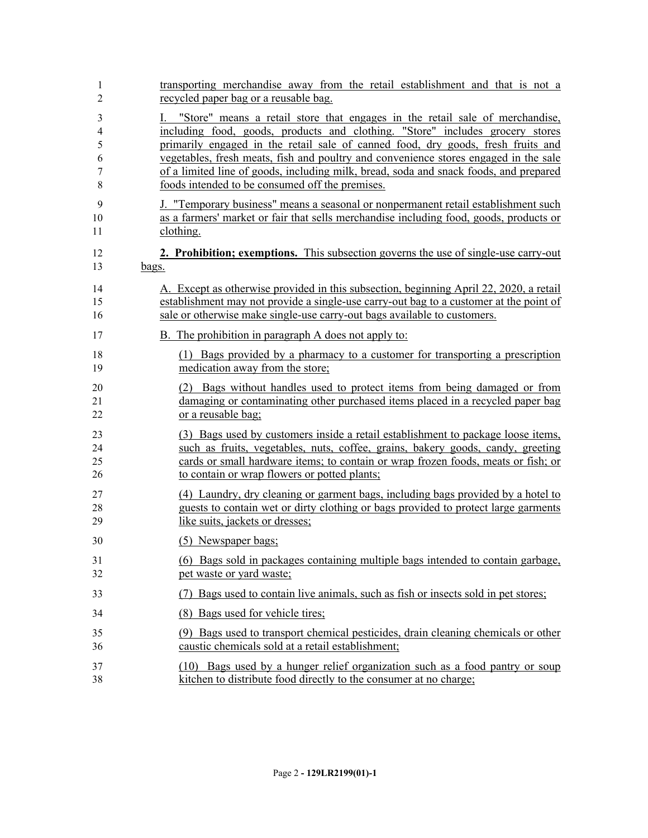| 1  | transporting merchandise away from the retail establishment and that is not a              |
|----|--------------------------------------------------------------------------------------------|
| 2  | recycled paper bag or a reusable bag.                                                      |
| 3  | "Store" means a retail store that engages in the retail sale of merchandise,               |
| 4  | including food, goods, products and clothing. "Store" includes grocery stores              |
| 5  | primarily engaged in the retail sale of canned food, dry goods, fresh fruits and           |
| 6  | vegetables, fresh meats, fish and poultry and convenience stores engaged in the sale       |
| 7  | of a limited line of goods, including milk, bread, soda and snack foods, and prepared      |
| 8  | foods intended to be consumed off the premises.                                            |
| 9  | J. "Temporary business" means a seasonal or nonpermanent retail establishment such         |
| 10 | as a farmers' market or fair that sells merchandise including food, goods, products or     |
| 11 | clothing.                                                                                  |
| 12 | <b>2. Prohibition; exemptions.</b> This subsection governs the use of single-use carry-out |
| 13 | bags.                                                                                      |
| 14 | A. Except as otherwise provided in this subsection, beginning April 22, 2020, a retail     |
| 15 | establishment may not provide a single-use carry-out bag to a customer at the point of     |
| 16 | sale or otherwise make single-use carry-out bags available to customers.                   |
| 17 | B. The prohibition in paragraph A does not apply to:                                       |
| 18 | (1) Bags provided by a pharmacy to a customer for transporting a prescription              |
| 19 | medication away from the store;                                                            |
| 20 | (2) Bags without handles used to protect items from being damaged or from                  |
| 21 | damaging or contaminating other purchased items placed in a recycled paper bag             |
| 22 | or a reusable bag;                                                                         |
| 23 | (3) Bags used by customers inside a retail establishment to package loose items,           |
| 24 | such as fruits, vegetables, nuts, coffee, grains, bakery goods, candy, greeting            |
| 25 | cards or small hardware items; to contain or wrap frozen foods, meats or fish; or          |
| 26 | to contain or wrap flowers or potted plants;                                               |
| 27 | (4) Laundry, dry cleaning or garment bags, including bags provided by a hotel to           |
| 28 | guests to contain wet or dirty clothing or bags provided to protect large garments         |
| 29 | like suits, jackets or dresses;                                                            |
| 30 | (5) Newspaper bags;                                                                        |
| 31 | (6) Bags sold in packages containing multiple bags intended to contain garbage,            |
| 32 | pet waste or yard waste;                                                                   |
| 33 | Bags used to contain live animals, such as fish or insects sold in pet stores;<br>(7)      |
| 34 | (8) Bags used for vehicle tires;                                                           |
| 35 | (9) Bags used to transport chemical pesticides, drain cleaning chemicals or other          |
| 36 | caustic chemicals sold at a retail establishment;                                          |
| 37 | (10) Bags used by a hunger relief organization such as a food pantry or soup               |
| 38 | kitchen to distribute food directly to the consumer at no charge;                          |